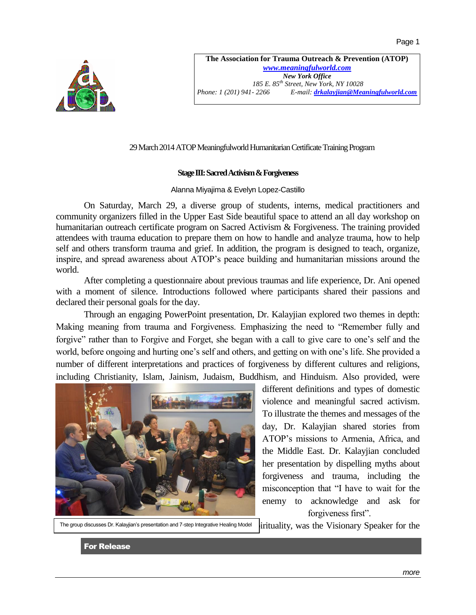

**The Association for Trauma Outreach & Prevention (ATOP)** *[www.meaningfulworld.com](http://www.meaningfulworld.com/) New York Office 185 E. 85th Street, New York, NY 10028 Phone: 1 (201) 941- 2266 E-mail: [drkalayjian@Meaningfulworld.com](mailto:drkalayjian@Meaningfulworld.com)*

## 29 March 2014 ATOP Meaningfulworld Humanitarian Certificate Training Program

## **Stage III: Sacred Activism & Forgiveness**

## Alanna Miyajima & Evelyn Lopez-Castillo

On Saturday, March 29, a diverse group of students, interns, medical practitioners and community organizers filled in the Upper East Side beautiful space to attend an all day workshop on humanitarian outreach certificate program on Sacred Activism & Forgiveness. The training provided attendees with trauma education to prepare them on how to handle and analyze trauma, how to help self and others transform trauma and grief. In addition, the program is designed to teach, organize, inspire, and spread awareness about ATOP's peace building and humanitarian missions around the world.

After completing a questionnaire about previous traumas and life experience, Dr. Ani opened with a moment of silence. Introductions followed where participants shared their passions and declared their personal goals for the day.

Through an engaging PowerPoint presentation, Dr. Kalayjian explored two themes in depth: Making meaning from trauma and Forgiveness. Emphasizing the need to "Remember fully and forgive" rather than to Forgive and Forget, she began with a call to give care to one's self and the world, before ongoing and hurting one's self and others, and getting on with one's life. She provided a number of different interpretations and practices of forgiveness by different cultures and religions, including Christianity, Islam, Jainism, Judaism, Buddhism, and Hinduism. Also provided, were



different definitions and types of domestic violence and meaningful sacred activism. To illustrate the themes and messages of the day, Dr. Kalayjian shared stories from ATOP's missions to Armenia, Africa, and the Middle East. Dr. Kalayjian concluded her presentation by dispelling myths about forgiveness and trauma, including the misconception that "I have to wait for the enemy to acknowledge and ask for forgiveness first".

The group discusses Dr. Kalayjian's presentation and 7-step Integrative Healing Model

irituality, was the Visionary Speaker for the

For Release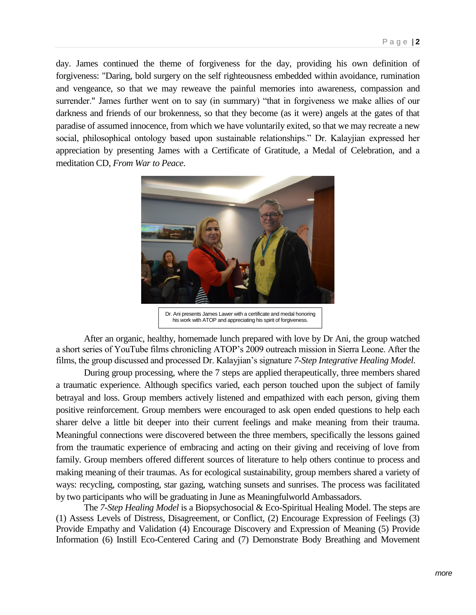day. James continued the theme of forgiveness for the day, providing his own definition of forgiveness: "Daring, bold surgery on the self righteousness embedded within avoidance, rumination and vengeance, so that we may reweave the painful memories into awareness, compassion and surrender." James further went on to say (in summary) "that in forgiveness we make allies of our darkness and friends of our brokenness, so that they become (as it were) angels at the gates of that paradise of assumed innocence, from which we have voluntarily exited, so that we may recreate a new social, philosophical ontology based upon sustainable relationships." Dr. Kalayjian expressed her appreciation by presenting James with a Certificate of Gratitude, a Medal of Celebration, and a meditation CD, *From War to Peace*.



Dr. Ani presents James Lawer with a certificate and medal honoring his work with ATOP and appreciating his spirit of forgiveness.

After an organic, healthy, homemade lunch prepared with love by Dr Ani, the group watched a short series of YouTube films chronicling ATOP's 2009 outreach mission in Sierra Leone. After the films, the group discussed and processed Dr. Kalayjian's signature *7-Step Integrative Healing Model.*

During group processing, where the 7 steps are applied therapeutically, three members shared a traumatic experience. Although specifics varied, each person touched upon the subject of family betrayal and loss. Group members actively listened and empathized with each person, giving them positive reinforcement. Group members were encouraged to ask open ended questions to help each sharer delve a little bit deeper into their current feelings and make meaning from their trauma. Meaningful connections were discovered between the three members, specifically the lessons gained from the traumatic experience of embracing and acting on their giving and receiving of love from family. Group members offered different sources of literature to help others continue to process and making meaning of their traumas. As for ecological sustainability, group members shared a variety of ways: recycling, composting, star gazing, watching sunsets and sunrises. The process was facilitated by two participants who will be graduating in June as Meaningfulworld Ambassadors.

The *7-Step Healing Model* is a Biopsychosocial & Eco-Spiritual Healing Model. The steps are (1) Assess Levels of Distress, Disagreement, or Conflict, (2) Encourage Expression of Feelings (3) Provide Empathy and Validation (4) Encourage Discovery and Expression of Meaning (5) Provide Information (6) Instill Eco-Centered Caring and (7) Demonstrate Body Breathing and Movement